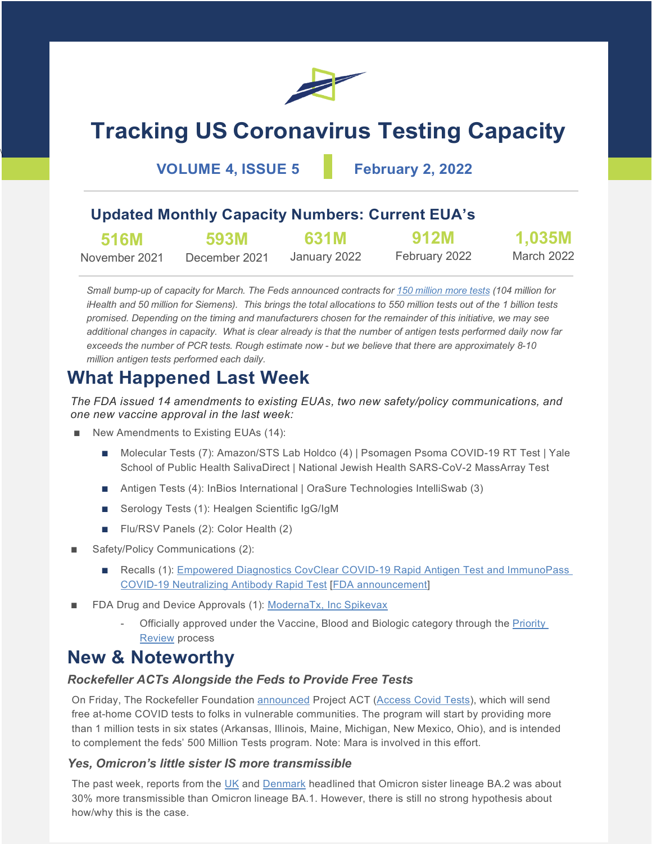

# **Tracking US Coronavirus Testing Capacity**

**VOLUME 4, ISSUE 5 February 2, 2022**

\

### **Updated Monthly Capacity Numbers: Current EUA's**

| <b>516M</b>   | 593M          | 631M         | <b>912M</b>   | 1,035M     |
|---------------|---------------|--------------|---------------|------------|
| November 2021 | December 2021 | January 2022 | February 2022 | March 2022 |

*Small bump-up of capacity for March. The Feds announced contracts fo[r 150 million more tests](https://www.medtechdive.com/news/dod-orders-covid-19-tests-ihealth-lab/618000/?utm_source=Sailthru&utm_medium=email&utm_campaign=Issue:%202022-02-01%20MedTech%20Dive%20%5Bissue:39478%5D&utm_term=MedTech%20Dive) (104 million for iHealth and 50 million for Siemens). This brings the total allocations to 550 million tests out of the 1 billion tests promised. Depending on the timing and manufacturers chosen for the remainder of this initiative, we may see additional changes in capacity. What is clear already is that the number of antigen tests performed daily now far exceeds the number of PCR tests. Rough estimate now - but we believe that there are approximately 8-10 million antigen tests performed each daily.*

## **What Happened Last Week**

*The FDA issued 14 amendments to existing EUAs, two new safety/policy communications, and one new vaccine approval in the last week:*

- New Amendments to Existing EUAs (14):
	- Molecular Tests (7): Amazon/STS Lab Holdco (4) | Psomagen Psoma COVID-19 RT Test | Yale School of Public Health SalivaDirect | National Jewish Health SARS-CoV-2 MassArray Test
	- Antigen Tests (4): InBios International | OraSure Technologies IntelliSwab (3)
	- Serology Tests (1): Healgen Scientific IgG/IgM
	- Flu/RSV Panels (2): Color Health (2)
- Safety/Policy Communications (2):
	- Recalls (1): Empowered Diagnostics CovClear COVID-19 Rapid Antigen Test and ImmunoPass [COVID-19 Neutralizing Antibody Rapid Test](https://www.fda.gov/medical-devices/medical-device-recalls/empowered-diagnostics-recalls-covid-19-tests-due-risk-false-results) [\[FDA announcement\]](https://www.fda.gov/medical-devices/safety-communications/stop-using-empowered-diagnostics-covid-19-tests-fda-safety-communication)
- FDA Drug and Device Approvals (1): [ModernaTx, Inc Spikevax](https://www.fda.gov/vaccines-blood-biologics/spikevax)
	- Officially approved under the Vaccine, Blood and Biologic category through the [Priority](https://www.fda.gov/patients/fast-track-breakthrough-therapy-accelerated-approval-priority-review/priority-review)  [Review](https://www.fda.gov/patients/fast-track-breakthrough-therapy-accelerated-approval-priority-review/priority-review) process

## **New & Noteworthy**

#### *Rockefeller ACTs Alongside the Feds to Provide Free Tests*

On Friday, The Rockefeller Foundation [announced](https://www.rockefellerfoundation.org/news/the-rockefeller-foundation-partners-with-ihealth-labs-careevolution-amazon-and-six-state-health-departments-to-deliver-free-covid-19-tests-to-vulnerable-communities/) Project ACT [\(Access Covid Tests\)](http://www.accesscovidtests.org/), which will send free at-home COVID tests to folks in vulnerable communities. The program will start by providing more than 1 million tests in six states (Arkansas, Illinois, Maine, Michigan, New Mexico, Ohio), and is intended to complement the feds' 500 Million Tests program. Note: Mara is involved in this effort.

#### *Yes, Omicron's little sister IS more transmissible*

The past week, reports from the [UK](https://assets.publishing.service.gov.uk/government/uploads/system/uploads/attachment_data/file/1050999/Technical-Briefing-35-28January2022.pdf) and [Denmark](https://doi.org/10.1101/2022.01.28.22270044) headlined that Omicron sister lineage BA.2 was about 30% more transmissible than Omicron lineage BA.1. However, there is still no strong hypothesis about how/why this is the case.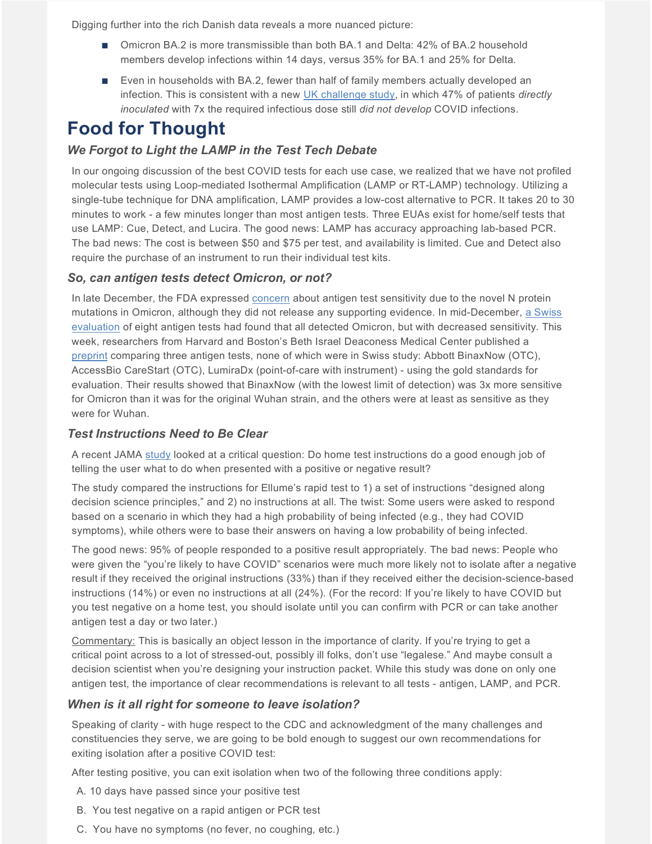Digging further into the rich Danish data reveals a more nuanced picture:

- Omicron BA.2 is more transmissible than both BA.1 and Delta: 42% of BA.2 household members develop infections within 14 days, versus 35% for BA.1 and 25% for Delta.
- Even in households with BA.2, fewer than half of family members actually developed an infection. This is consistent with a new [UK challenge study,](https://www.researchsquare.com/article/rs-1121993/v1) in which 47% of patients *directly inoculated* with 7x the required infectious dose still *did not develop* COVID infections.

## **Food for Thought**

#### *We Forgot to Light the LAMP in the Test Tech Debate*

In our ongoing discussion of the best COVID tests for each use case, we realized that we have not profiled molecular tests using Loop-mediated Isothermal Amplification (LAMP or RT-LAMP) technology. Utilizing a single-tube technique for DNA amplification, LAMP provides a low-cost alternative to PCR. It takes 20 to 30 minutes to work - a few minutes longer than most antigen tests. Three EUAs exist for home/self tests that use LAMP: Cue, Detect, and Lucira. The good news: LAMP has accuracy approaching lab-based PCR. The bad news: The cost is between \$50 and \$75 per test, and availability is limited. Cue and Detect also require the purchase of an instrument to run their individual test kits.

#### *So, can antigen tests detect Omicron, or not?*

In late December, the FDA expressed [concern](https://www.fda.gov/medical-devices/coronavirus-covid-19-and-medical-devices/sars-cov-2-viral-mutations-impact-covid-19-tests) about antigen test sensitivity due to the novel N protein mutations in Omicron, although they did not release any supporting evidence. In mid-December, [a Swiss](https://doi.org/10.1101/2021.12.18.21268018)  [evaluation](https://doi.org/10.1101/2021.12.18.21268018) of eight antigen tests had found that all detected Omicron, but with decreased sensitivity. This week, researchers from Harvard and Boston's Beth Israel Deaconess Medical Center published a [preprint](https://doi.org/10.1101/2022.01.28.22269968) comparing three antigen tests, none of which were in Swiss study: Abbott BinaxNow (OTC), AccessBio CareStart (OTC), LumiraDx (point-of-care with instrument) - using the gold standards for evaluation. Their results showed that BinaxNow (with the lowest limit of detection) was 3x more sensitive for Omicron than it was for the original Wuhan strain, and the others were at least as sensitive as they were for Wuhan.

#### *Test Instructions Need to Be Clear*

A recent JAMA [study](https://jamanetwork.com/journals/jamainternalmedicine/fullarticle/2788656) looked at a critical question: Do home test instructions do a good enough job of telling the user what to do when presented with a positive or negative result?

The study compared the instructions for Ellume's rapid test to 1) a set of instructions "designed along decision science principles," and 2) no instructions at all. The twist: Some users were asked to respond based on a scenario in which they had a high probability of being infected (e.g., they had COVID symptoms), while others were to base their answers on having a low probability of being infected.

The good news: 95% of people responded to a positive result appropriately. The bad news: People who were given the "you're likely to have COVID" scenarios were much more likely not to isolate after a negative result if they received the original instructions (33%) than if they received either the decision-science-based instructions (14%) or even no instructions at all (24%). (For the record: If you're likely to have COVID but you test negative on a home test, you should isolate until you can confirm with PCR or can take another antigen test a day or two later.)

Commentary: This is basically an object lesson in the importance of clarity. If you're trying to get a critical point across to a lot of stressed-out, possibly ill folks, don't use "legalese." And maybe consult a decision scientist when you're designing your instruction packet. While this study was done on only one antigen test, the importance of clear recommendations is relevant to all tests - antigen, LAMP, and PCR.

#### *When is it all right for someone to leave isolation?*

Speaking of clarity - with huge respect to the CDC and acknowledgment of the many challenges and constituencies they serve, we are going to be bold enough to suggest our own recommendations for exiting isolation after a positive COVID test:

After testing positive, you can exit isolation when two of the following three conditions apply:

- A. 10 days have passed since your positive test
- B. You test negative on a rapid antigen or PCR test
- C. You have no symptoms (no fever, no coughing, etc.)